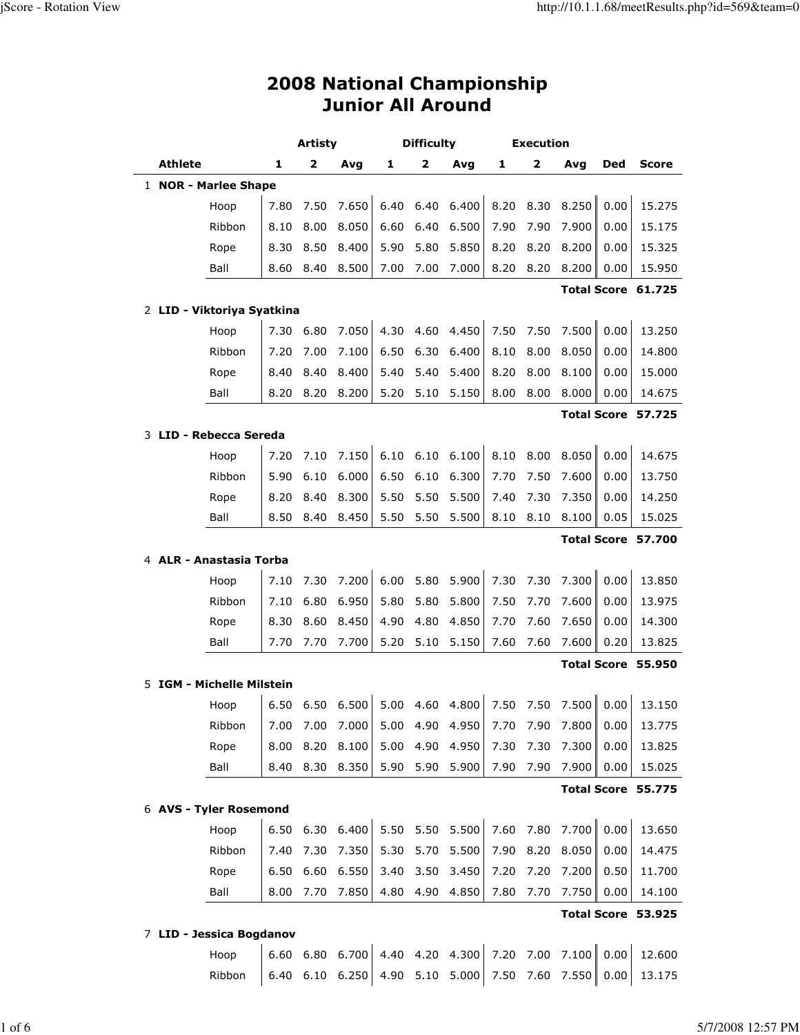## 2008 National Championship Junior All Around

|                            |      | <b>Artisty</b> |                                                      |      | <b>Difficulty</b> |                 |      | <b>Execution</b>        |       |            |                    |
|----------------------------|------|----------------|------------------------------------------------------|------|-------------------|-----------------|------|-------------------------|-------|------------|--------------------|
| <b>Athlete</b>             | 1    | 2              | Avg                                                  | 1    | $\mathbf{z}$      | Avg             | 1    | $\overline{\mathbf{2}}$ | Avg   | <b>Ded</b> | <b>Score</b>       |
| 1 NOR - Marlee Shape       |      |                |                                                      |      |                   |                 |      |                         |       |            |                    |
| Hoop                       | 7.80 | 7.50           | 7.650                                                |      | 6.40 6.40         | 6.400           | 8.20 | 8.30                    | 8.250 | 0.00       | 15.275             |
| Ribbon                     | 8.10 | 8.00           | 8.050                                                | 6.60 | 6.40              | 6.500           | 7.90 | 7.90                    | 7.900 | 0.00       | 15.175             |
| Rope                       | 8.30 | 8.50           | 8.400                                                | 5.90 | 5.80              | 5.850           | 8.20 | 8.20                    | 8.200 | 0.00       | 15.325             |
| Ball                       | 8.60 | 8.40           | 8.500                                                | 7.00 | 7.00              | 7.000           | 8.20 | 8.20                    | 8.200 | 0.00       | 15.950             |
|                            |      |                |                                                      |      |                   |                 |      |                         |       |            | Total Score 61.725 |
| 2 LID - Viktoriya Syatkina |      |                |                                                      |      |                   |                 |      |                         |       |            |                    |
| Hoop                       | 7.30 | 6.80           | 7.050                                                | 4.30 | 4.60              | 4.450           | 7.50 | 7.50                    | 7.500 | 0.00       | 13.250             |
| Ribbon                     | 7.20 | 7.00           | 7.100                                                | 6.50 | 6.30              | 6.400           | 8.10 | 8.00                    | 8.050 | 0.00       | 14.800             |
| Rope                       | 8.40 | 8.40           | 8.400                                                | 5.40 | 5.40              | 5.400           | 8.20 | 8.00                    | 8.100 | 0.00       | 15.000             |
| Ball                       | 8.20 | 8.20           | 8.200                                                | 5.20 | 5.10              | 5.150           | 8.00 | 8.00                    | 8.000 | 0.00       | 14.675             |
|                            |      |                |                                                      |      |                   |                 |      |                         |       |            | Total Score 57.725 |
| 3 LID - Rebecca Sereda     |      |                |                                                      |      |                   |                 |      |                         |       |            |                    |
| Hoop                       | 7.20 | 7.10           | 7.150                                                | 6.10 | 6.10              | 6.100           | 8.10 | 8.00                    | 8.050 | 0.00       | 14.675             |
| Ribbon                     | 5.90 | 6.10           | 6.000                                                | 6.50 | 6.10              | 6.300           | 7.70 | 7.50                    | 7.600 | 0.00       | 13.750             |
| Rope                       | 8.20 | 8.40           | 8.300                                                | 5.50 | 5.50              | 5.500           | 7.40 | 7.30                    | 7.350 | 0.00       | 14.250             |
| Ball                       | 8.50 | 8.40           | 8.450                                                | 5.50 | 5.50              | 5.500           | 8.10 | 8.10                    | 8.100 | 0.05       | 15.025             |
|                            |      |                |                                                      |      |                   |                 |      |                         |       |            | Total Score 57.700 |
| 4 ALR - Anastasia Torba    |      |                |                                                      |      |                   |                 |      |                         |       |            |                    |
| Hoop                       | 7.10 | 7.30           | 7.200                                                | 6.00 | 5.80              | 5.900           | 7.30 | 7.30                    | 7.300 | 0.00       | 13.850             |
| Ribbon                     | 7.10 | 6.80           | 6.950                                                | 5.80 | 5.80              | 5.800           | 7.50 | 7.70                    | 7.600 | 0.00       | 13.975             |
| Rope                       | 8.30 | 8.60           | 8.450                                                | 4.90 | 4.80              | 4.850           | 7.70 | 7.60                    | 7.650 | 0.00       | 14.300             |
| Ball                       | 7.70 | 7.70           | 7.700                                                | 5.20 | 5.10              | 5.150           | 7.60 | 7.60                    | 7.600 | 0.20       | 13.825             |
|                            |      |                |                                                      |      |                   |                 |      |                         |       |            | Total Score 55.950 |
| 5 IGM - Michelle Milstein  |      |                |                                                      |      |                   |                 |      |                         |       |            |                    |
| Hoop                       | 6.50 |                | 6.50 6.500                                           |      |                   | 5.00 4.60 4.800 | 7.50 | 7.50                    | 7.500 | 0.00       | 13.150             |
| Ribbon                     |      |                | 7.00 7.00 7.000 5.00 4.90 4.950 7.70 7.90 7.800 0.00 |      |                   |                 |      |                         |       |            | 13.775             |
| Rope                       | 8.00 | 8.20           | 8.100                                                | 5.00 | 4.90              | 4.950           | 7.30 | 7.30                    | 7.300 | 0.00       | 13.825             |
| Ball                       | 8.40 | 8.30           | 8.350                                                | 5.90 | 5.90              | 5.900           | 7.90 | 7.90                    | 7.900 | 0.00       | 15.025             |
|                            |      |                |                                                      |      |                   |                 |      |                         |       |            | Total Score 55.775 |
| 6 AVS - Tyler Rosemond     |      |                |                                                      |      |                   |                 |      |                         |       |            |                    |
| Hoop                       | 6.50 | 6.30           | 6.400                                                | 5.50 | 5.50              | 5.500           | 7.60 | 7.80                    | 7.700 | 0.00       | 13.650             |
| Ribbon                     | 7.40 | 7.30           | 7.350                                                | 5.30 | 5.70              | 5.500           | 7.90 | 8.20                    | 8.050 | 0.00       | 14.475             |
| Rope                       | 6.50 | 6.60           | 6.550                                                | 3.40 | 3.50              | 3.450           | 7.20 | 7.20                    | 7.200 | 0.50       | 11.700             |
| Ball                       | 8.00 | 7.70           | 7.850                                                | 4.80 | 4.90              | 4.850           | 7.80 | 7.70                    | 7.750 | 0.00       | 14.100             |
|                            |      |                |                                                      |      |                   |                 |      |                         |       |            | Total Score 53.925 |
| 7 LID - Jessica Bogdanov   |      |                |                                                      |      |                   |                 |      |                         |       |            |                    |

 Hoop 6.60 6.80 6.700 4.40 4.20 4.300 7.20 7.00 7.100 0.00 12.600 Ribbon 6.40 6.10 6.250 4.90 5.10 5.000 7.50 7.60 7.550 0.00 13.175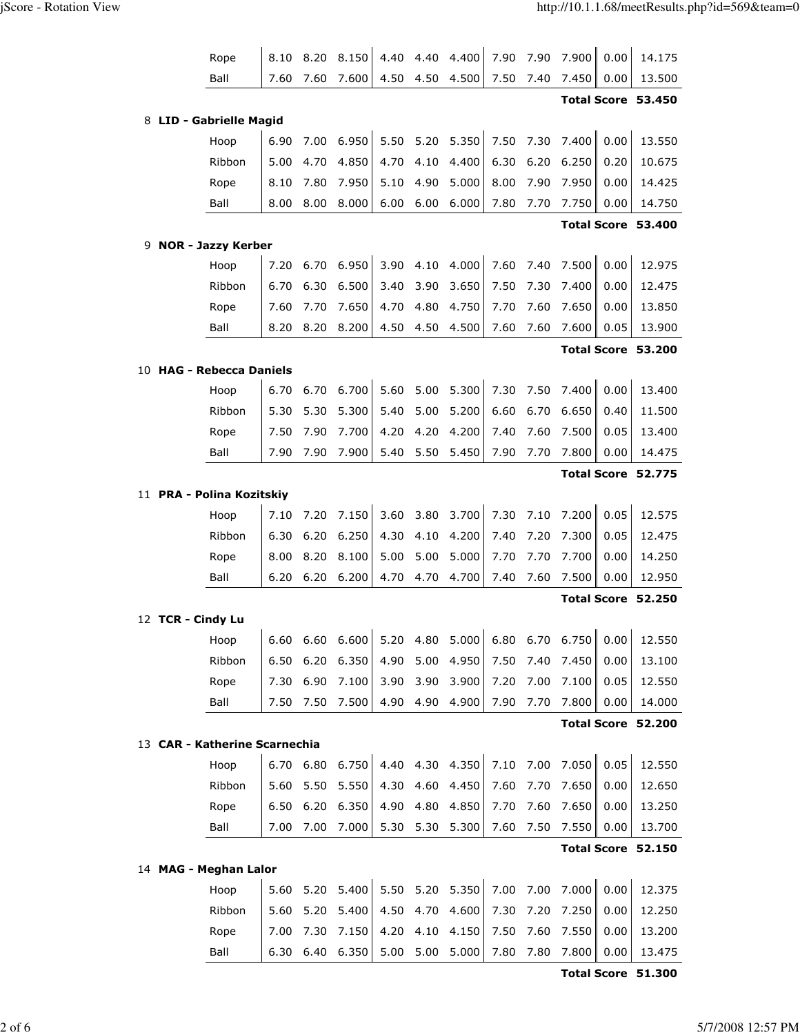|   | Rope                          | 8.10 | 8.20         | 8.150          | 4.40         | 4.40         | 4.400          | 7.90         | 7.90         | 7.900          | 0.00                  | 14.175                       |
|---|-------------------------------|------|--------------|----------------|--------------|--------------|----------------|--------------|--------------|----------------|-----------------------|------------------------------|
|   | Ball                          | 7.60 | 7.60         | 7.600          | 4.50         | 4.50         | 4.500          | 7.50         | 7.40         | 7.450          | 0.00                  | 13.500                       |
|   |                               |      |              |                |              |              |                |              |              |                |                       | Total Score 53.450           |
| 8 | <b>LID - Gabrielle Magid</b>  |      |              |                |              |              |                |              |              |                |                       |                              |
|   | Hoop                          | 6.90 | 7.00         | 6.950          | 5.50         | 5.20         | 5.350          | 7.50         | 7.30         | 7.400          | 0.00                  | 13.550                       |
|   | Ribbon                        | 5.00 | 4.70         | 4.850          | 4.70         | 4.10         | 4.400          | 6.30         | 6.20         | 6.250          | 0.20                  | 10.675                       |
|   | Rope                          | 8.10 | 7.80         | 7.950          | 5.10         | 4.90         | 5.000          | 8.00         | 7.90         | 7.950          | 0.00                  | 14.425                       |
|   | Ball                          | 8.00 | 8.00         | 8.000          | 6.00         | 6.00         | 6.000          | 7.80         | 7.70         | 7.750          | 0.00                  | 14.750                       |
|   |                               |      |              |                |              |              |                |              |              |                |                       | Total Score 53.400           |
| 9 | <b>NOR - Jazzy Kerber</b>     |      |              |                |              |              |                |              |              |                |                       |                              |
|   | Hoop                          | 7.20 | 6.70         | 6.950          | 3.90         | 4.10         | 4.000          | 7.60         | 7.40         | 7.500          | 0.00                  | 12.975                       |
|   | Ribbon                        | 6.70 | 6.30         | 6.500          | 3.40         | 3.90         | 3.650          | 7.50         | 7.30         | 7.400          | 0.00                  | 12.475                       |
|   | Rope                          | 7.60 | 7.70         | 7.650          | 4.70         | 4.80         | 4.750          | 7.70         | 7.60         | 7.650          | 0.00                  | 13.850                       |
|   | Ball                          | 8.20 | 8.20         | 8.200          | 4.50         | 4.50         | 4.500          | 7.60         | 7.60         | 7.600          | 0.05                  | 13.900                       |
|   |                               |      |              |                |              |              |                |              |              |                |                       | Total Score 53.200           |
|   | 10 HAG - Rebecca Daniels      |      |              |                |              |              |                |              |              |                |                       |                              |
|   | Hoop                          | 6.70 | 6.70         | 6.700          | 5.60         | 5.00         | 5.300          | 7.30         | 7.50         | 7.400          | 0.00                  | 13.400                       |
|   | Ribbon                        | 5.30 | 5.30         | 5.300          | 5.40         | 5.00         | 5.200          | 6.60         | 6.70         | 6.650          | 0.40                  | 11.500                       |
|   | Rope                          | 7.50 | 7.90         | 7.700          | 4.20         | 4.20         | 4.200          | 7.40         | 7.60         | 7.500          | 0.05                  | 13.400                       |
|   | Ball                          | 7.90 | 7.90         | 7.900          | 5.40         | 5.50         | 5.450          | 7.90         | 7.70         | 7.800          | 0.00                  | 14.475                       |
|   |                               |      |              |                |              |              |                |              |              |                |                       | Total Score 52.775           |
|   | 11 PRA - Polina Kozitskiy     |      |              |                |              |              |                |              |              |                |                       |                              |
|   | Hoop                          | 7.10 | 7.20         | 7.150          | 3.60         | 3.80         | 3.700          | 7.30         | 7.10         | 7.200          | 0.05                  | 12.575                       |
|   | Ribbon                        | 6.30 | 6.20         | 6.250          | 4.30         | 4.10         | 4.200          | 7.40         | 7.20         | 7.300          | 0.05                  | 12.475                       |
|   |                               |      |              | 8.100          | 5.00         | 5.00         | 5.000          | 7.70         | 7.70         | 7.700          | 0.00                  | 14.250                       |
|   | Rope                          | 8.00 | 8.20         |                |              |              |                |              |              |                |                       |                              |
|   | Ball                          | 6.20 | 6.20         | 6.200          | 4.70         | 4.70         | 4.700          | 7.40         | 7.60         | 7.500          | 0.00                  | 12.950                       |
|   |                               |      |              |                |              |              |                |              |              |                |                       | Total Score 52.250           |
|   | 12 TCR - Cindy Lu             | 6.60 |              |                |              | 4.80         |                |              |              |                | <b>ILL ST</b><br>0.00 |                              |
|   | Hoop                          | 6.50 | 6.60         | 6.600          | 5.20         |              | 5.000          | 6.80         | 6.70         | 6.750          |                       | 12.550                       |
|   | Ribbon                        | 7.30 | 6.20         | 6.350          | 4.90         | 5.00         | 4.950          | 7.50         | 7.40         | 7.450<br>7.100 | 0.00                  | 13.100                       |
|   | Rope<br>Ball                  | 7.50 | 6.90<br>7.50 | 7.100<br>7.500 | 3.90<br>4.90 | 3.90<br>4.90 | 3.900<br>4.900 | 7.20<br>7.90 | 7.00<br>7.70 | 7.800          | 0.05<br>0.00          | 12.550                       |
|   |                               |      |              |                |              |              |                |              |              |                |                       | 14.000<br>Total Score 52.200 |
|   | 13 CAR - Katherine Scarnechia |      |              |                |              |              |                |              |              |                |                       |                              |
|   | Hoop                          |      | 6.70 6.80    | 6.750          | 4.40         |              | 4.30 4.350     | 7.10         | 7.00         | 7.050          | 0.05                  | 12.550                       |
|   | Ribbon                        | 5.60 | 5.50         | 5.550          | 4.30         | 4.60         | 4.450          | 7.60         | 7.70         | 7.650          | 0.00                  | 12.650                       |
|   | Rope                          | 6.50 | 6.20         | 6.350          | 4.90         | 4.80         | 4.850          | 7.70         | 7.60         | 7.650          | 0.00                  | 13.250                       |
|   | Ball                          | 7.00 | 7.00         | 7.000          | 5.30         | 5.30         | 5.300          | 7.60         | 7.50         | 7.550          | 0.00                  | 13.700                       |
|   |                               |      |              |                |              |              |                |              |              |                |                       | Total Score 52.150           |
|   | 14 MAG - Meghan Lalor         |      |              |                |              |              |                |              |              |                |                       |                              |
|   | Hoop                          | 5.60 | 5.20         | 5.400          | 5.50         | 5.20         | 5.350          | 7.00         | 7.00         | 7.000          | 0.00                  | 12.375                       |
|   | Ribbon                        | 5.60 | 5.20         | 5.400          | 4.50         | 4.70         | 4.600          | 7.30         | 7.20         | 7.250          | 0.00                  | 12.250                       |
|   | Rope                          | 7.00 | 7.30         | 7.150          | 4.20         | 4.10         | 4.150          | 7.50         | 7.60         | 7.550          | 0.00                  | 13.200                       |

Total Score 51.300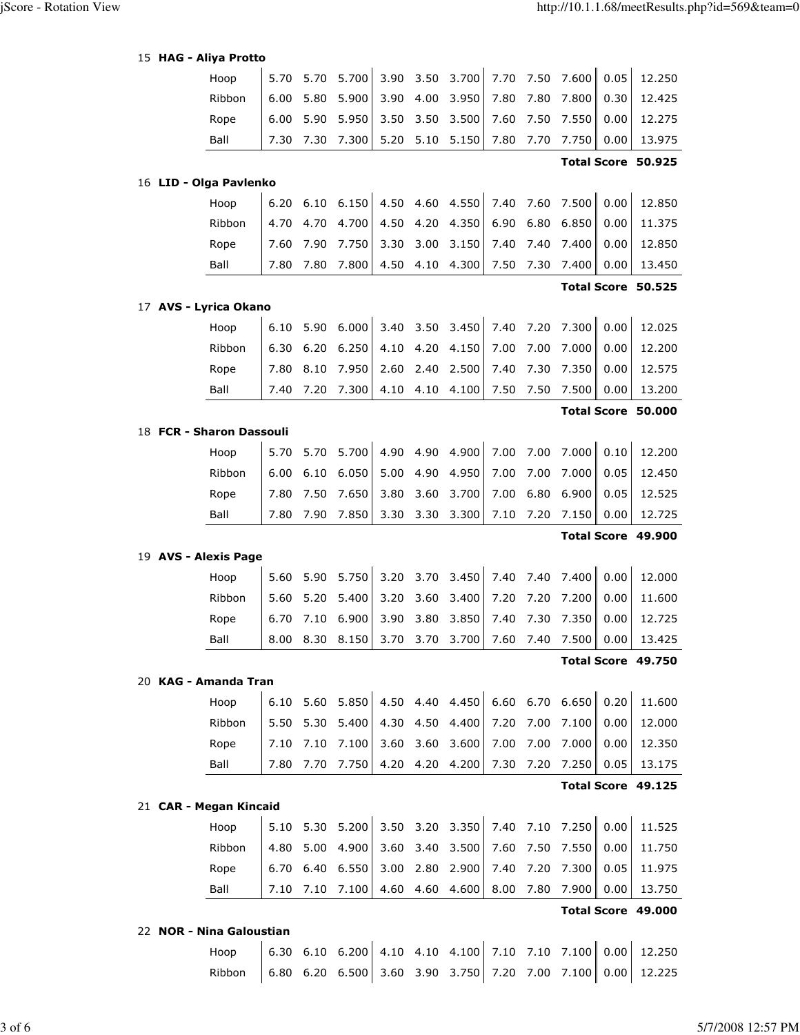|  |  |  | 15 HAG - Aliya Protto |
|--|--|--|-----------------------|
|--|--|--|-----------------------|

| 15 HAG - Aliya Protto    |      |      |                 |      |      |                 |      |      |                 |      |                    |
|--------------------------|------|------|-----------------|------|------|-----------------|------|------|-----------------|------|--------------------|
| Hoop                     | 5.70 | 5.70 | 5.700           | 3.90 | 3.50 | 3.700           | 7.70 | 7.50 | 7.600           | 0.05 | 12.250             |
| Ribbon                   | 6.00 | 5.80 | 5.900           | 3.90 | 4.00 | 3.950           | 7.80 | 7.80 | 7.800           | 0.30 | 12.425             |
| Rope                     | 6.00 | 5.90 | 5.950           | 3.50 | 3.50 | 3.500           | 7.60 | 7.50 | 7.550           | 0.00 | 12.275             |
| Ball                     | 7.30 | 7.30 | 7.300           | 5.20 | 5.10 | 5.150           | 7.80 | 7.70 | 7.750           | 0.00 | 13.975             |
|                          |      |      |                 |      |      |                 |      |      |                 |      | Total Score 50.925 |
| 16 LID - Olga Pavlenko   |      |      |                 |      |      |                 |      |      |                 |      |                    |
| Hoop                     | 6.20 | 6.10 | 6.150           | 4.50 | 4.60 | 4.550           | 7.40 | 7.60 | 7.500           | 0.00 | 12.850             |
| Ribbon                   | 4.70 | 4.70 | 4.700           | 4.50 | 4.20 | 4.350           | 6.90 | 6.80 | 6.850           | 0.00 | 11.375             |
| Rope                     | 7.60 | 7.90 | 7.750           | 3.30 | 3.00 | 3.150           | 7.40 | 7.40 | 7.400           | 0.00 | 12.850             |
| Ball                     | 7.80 | 7.80 | 7.800           | 4.50 | 4.10 | 4.300           | 7.50 | 7.30 | 7.400           | 0.00 | 13.450             |
|                          |      |      |                 |      |      |                 |      |      |                 |      | Total Score 50.525 |
| 17 AVS - Lyrica Okano    |      |      |                 |      |      |                 |      |      |                 |      |                    |
| Hoop                     | 6.10 | 5.90 | 6.000           | 3.40 | 3.50 | 3.450           | 7.40 | 7.20 | 7.300           | 0.00 | 12.025             |
| Ribbon                   | 6.30 | 6.20 | 6.250           | 4.10 | 4.20 | 4.150           | 7.00 | 7.00 | 7.000           | 0.00 | 12.200             |
| Rope                     | 7.80 | 8.10 | 7.950           | 2.60 | 2.40 | 2.500           | 7.40 | 7.30 | 7.350           | 0.00 | 12.575             |
| Ball                     | 7.40 | 7.20 | 7.300           | 4.10 | 4.10 | 4.100           | 7.50 | 7.50 | 7.500           | 0.00 | 13.200             |
|                          |      |      |                 |      |      |                 |      |      |                 |      | Total Score 50.000 |
| 18 FCR - Sharon Dassouli |      |      |                 |      |      |                 |      |      |                 |      |                    |
| Hoop                     | 5.70 | 5.70 | 5.700           | 4.90 | 4.90 | 4.900           | 7.00 | 7.00 | 7.000           | 0.10 | 12.200             |
| Ribbon                   | 6.00 | 6.10 | 6.050           | 5.00 | 4.90 | 4.950           | 7.00 | 7.00 | 7.000           | 0.05 | 12.450             |
| Rope                     | 7.80 | 7.50 | 7.650           | 3.80 | 3.60 | 3.700           | 7.00 | 6.80 | 6.900           | 0.05 | 12.525             |
| Ball                     | 7.80 | 7.90 | 7.850           | 3.30 | 3.30 | 3.300           | 7.10 | 7.20 | 7.150           | 0.00 | 12.725             |
|                          |      |      |                 |      |      |                 |      |      |                 |      | Total Score 49.900 |
| 19 AVS - Alexis Page     |      |      |                 |      |      |                 |      |      |                 |      |                    |
| Hoop                     | 5.60 | 5.90 | 5.750           | 3.20 | 3.70 | 3.450           | 7.40 | 7.40 | 7.400           | 0.00 | 12.000             |
| Ribbon                   | 5.60 | 5.20 | 5.400           | 3.20 | 3.60 | 3.400           | 7.20 | 7.20 | 7.200           | 0.00 | 11.600             |
| Rope                     | 6.70 | 7.10 | 6.900           | 3.90 | 3.80 | 3.850           | 7.40 | 7.30 | 7.350           | 0.00 | 12.725             |
| Ball                     |      |      | 8.00 8.30 8.150 |      |      | 3.70 3.70 3.700 |      |      | 7.60 7.40 7.500 | 0.00 | 13.425             |
|                          |      |      |                 |      |      |                 |      |      |                 |      | Total Score 49.750 |
| 20 KAG - Amanda Tran     |      |      |                 |      |      |                 |      |      |                 |      |                    |
| Hoop                     | 6.10 | 5.60 | 5.850           | 4.50 | 4.40 | 4.450           | 6.60 | 6.70 | 6.650           | 0.20 | 11.600             |
| Ribbon                   | 5.50 | 5.30 | 5.400           | 4.30 | 4.50 | 4.400           | 7.20 | 7.00 | 7.100           | 0.00 | 12.000             |
| Rope                     | 7.10 | 7.10 | 7.100           | 3.60 | 3.60 | 3.600           | 7.00 | 7.00 | 7.000           | 0.00 | 12.350             |
| Ball                     | 7.80 | 7.70 | 7.750           | 4.20 | 4.20 | 4.200           | 7.30 | 7.20 | 7.250           | 0.05 | 13.175             |
|                          |      |      |                 |      |      |                 |      |      |                 |      | Total Score 49.125 |
| 21 CAR - Megan Kincaid   |      |      |                 |      |      |                 |      |      |                 |      |                    |
| Hoop                     | 5.10 | 5.30 | 5.200           | 3.50 | 3.20 | 3.350           | 7.40 | 7.10 | 7.250           | 0.00 | 11.525             |
| Ribbon                   | 4.80 | 5.00 | 4.900           | 3.60 | 3.40 | 3.500           | 7.60 | 7.50 | 7.550           | 0.00 | 11.750             |
| Rope                     | 6.70 | 6.40 | 6.550           | 3.00 | 2.80 | 2.900           | 7.40 | 7.20 | 7.300           | 0.05 | 11.975             |
| Ball                     | 7.10 | 7.10 | 7.100           | 4.60 | 4.60 | 4.600           | 8.00 | 7.80 | 7.900           | 0.00 | 13.750             |
|                          |      |      |                 |      |      |                 |      |      |                 |      | Total Score 49.000 |
| 22 NOR - Nina Galoustian |      |      |                 |      |      |                 |      |      |                 |      |                    |

 Hoop 6.30 6.10 6.200 4.10 4.10 4.100 7.10 7.10 7.100 0.00 12.250 Ribbon 6.80 6.20 6.500 3.60 3.90 3.750 7.20 7.00 7.100 0.00 12.225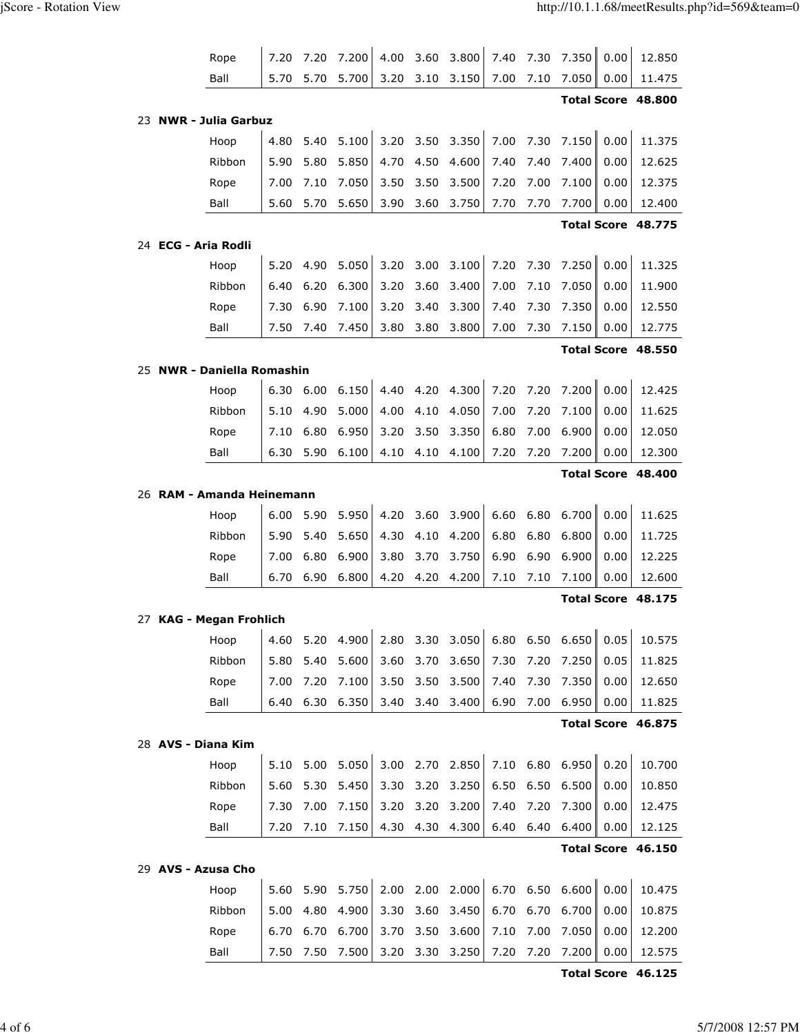| Rope                       | 7.20         | 7.20         | 7.200          | 4.00         | 3.60         | 3.800          | 7.40         | 7.30         | 7.350          | 0.00         | 12.850             |
|----------------------------|--------------|--------------|----------------|--------------|--------------|----------------|--------------|--------------|----------------|--------------|--------------------|
| Ball                       | 5.70         | 5.70         | 5.700          | 3.20         | 3.10         | 3.150          | 7.00         | 7.10         | 7.050          | 0.00         | 11.475             |
|                            |              |              |                |              |              |                |              |              |                |              | Total Score 48.800 |
| 23 NWR - Julia Garbuz      |              |              |                |              |              |                |              |              |                |              |                    |
| Hoop                       | 4.80         | 5.40         | 5.100          | 3.20         | 3.50         | 3.350          | 7.00         | 7.30         | 7.150          | 0.00         | 11.375             |
| Ribbon                     | 5.90         | 5.80         | 5.850          | 4.70         | 4.50         | 4.600          | 7.40         | 7.40         | 7.400          | 0.00         | 12.625             |
| Rope                       | 7.00         | 7.10         | 7.050          | 3.50         | 3.50         | 3.500          | 7.20         | 7.00         | 7.100          | 0.00         | 12.375             |
| Ball                       | 5.60         | 5.70         | 5.650          | 3.90         | 3.60         | 3.750          | 7.70         | 7.70         | 7.700          | 0.00         | 12.400             |
|                            |              |              |                |              |              |                |              |              |                |              | Total Score 48.775 |
| 24 ECG - Aria Rodli        |              |              |                |              |              |                |              |              |                |              |                    |
| Hoop                       | 5.20         | 4.90         | 5.050          | 3.20         | 3.00         | 3.100          | 7.20         | 7.30         | 7.250          | 0.00         | 11.325             |
| Ribbon                     | 6.40         | 6.20         | 6.300          | 3.20         | 3.60         | 3.400          | 7.00         | 7.10         | 7.050          | 0.00         | 11.900             |
| Rope                       | 7.30         | 6.90         | 7.100          | 3.20         | 3.40         | 3.300          | 7.40         | 7.30         | 7.350          | 0.00         | 12.550             |
| Ball                       | 7.50         | 7.40         | 7.450          | 3.80         | 3.80         | 3.800          | 7.00         | 7.30         | 7.150          | 0.00         | 12.775             |
|                            |              |              |                |              |              |                |              |              |                |              | Total Score 48.550 |
| 25 NWR - Daniella Romashin |              |              |                |              |              |                |              |              |                |              |                    |
| Hoop                       | 6.30         | 6.00         | 6.150          | 4.40         | 4.20         | 4.300          | 7.20         | 7.20         | 7.200          | 0.00         | 12.425             |
| Ribbon                     | 5.10         | 4.90         | 5.000          | 4.00         | 4.10         | 4.050          | 7.00         | 7.20         | 7.100          | 0.00         | 11.625             |
| Rope                       | 7.10         | 6.80         | 6.950          | 3.20         | 3.50         | 3.350          | 6.80         | 7.00         | 6.900          | 0.00         | 12.050             |
| Ball                       | 6.30         | 5.90         | 6.100          | 4.10         | 4.10         | 4.100          | 7.20         | 7.20         | 7.200          | 0.00         | 12.300             |
|                            |              |              |                |              |              |                |              |              |                |              | Total Score 48.400 |
| 26 RAM - Amanda Heinemann  |              |              |                |              |              |                |              |              |                |              |                    |
|                            |              |              |                |              |              |                |              |              |                |              |                    |
| Hoop                       | 6.00         | 5.90         | 5.950          | 4.20         | 3.60         | 3.900          | 6.60         | 6.80         | 6.700          | 0.00         | 11.625             |
| Ribbon                     | 5.90         | 5.40         | 5.650          | 4.30         | 4.10         | 4.200          | 6.80         | 6.80         | 6.800          | 0.00         | 11.725             |
| Rope                       | 7.00         | 6.80         | 6.900          | 3.80         | 3.70         | 3.750          | 6.90         | 6.90         | 6.900          | 0.00         | 12.225             |
| Ball                       | 6.70         | 6.90         | 6.800          | 4.20         | 4.20         | 4.200          | 7.10         | 7.10         | 7.100          | 0.00         | 12.600             |
|                            |              |              |                |              |              |                |              |              |                |              | Total Score 48.175 |
| 27 KAG - Megan Frohlich    |              |              |                |              |              | $\mathbf{I}$   |              |              |                | $\mathbf{H}$ |                    |
| Hoop                       | 4.60         | 5.20         | 4.900          | 2.80         | 3.30         | 3.050          |              | 6.80 6.50    | 6.650          | 0.05         | 10.575             |
| Ribbon                     | 5.80         | 5.40         | 5.600          | 3.60         | 3.70         | 3.650          | 7.30         | 7.20         | 7.250          | 0.05         | 11.825             |
| Rope                       | 7.00         | 7.20         | 7.100          | 3.50         | 3.50         | 3.500          | 7.40         | 7.30         | 7.350          | 0.00         | 12.650             |
| Ball                       | 6.40         | 6.30         | 6.350          | 3.40         | 3.40         | 3.400          | 6.90         | 7.00         | 6.950          | 0.00         | 11.825             |
|                            |              |              |                |              |              |                |              |              |                |              | Total Score 46.875 |
| 28 AVS - Diana Kim         |              |              |                |              |              |                |              |              |                |              |                    |
| Hoop                       | 5.10         | 5.00         | 5.050          | 3.00         | 2.70         | 2.850          | 7.10         | 6.80         | 6.950          | 0.20         | 10.700             |
| Ribbon                     | 5.60         | 5.30         | 5.450          | 3.30         | 3.20         | 3.250          | 6.50         | 6.50         | 6.500          | 0.00         | 10.850             |
| Rope                       | 7.30         | 7.00         | 7.150          | 3.20         | 3.20         | 3.200          | 7.40         | 7.20         | 7.300          | 0.00         | 12.475             |
| Ball                       | 7.20         | 7.10         | 7.150          | 4.30         | 4.30         | 4.300          | 6.40         | 6.40         | 6.400          | 0.00         | 12.125             |
|                            |              |              |                |              |              |                |              |              |                |              | Total Score 46.150 |
| 29 AVS - Azusa Cho         |              |              |                |              |              |                |              |              |                |              |                    |
| Hoop                       | 5.60         | 5.90         | 5.750          | 2.00         | 2.00         | 2.000          | 6.70         | 6.50         | 6.600          | 0.00         | 10.475             |
| Ribbon                     | 5.00         | 4.80         | 4.900          | 3.30         | 3.60         | 3.450          | 6.70         | 6.70         | 6.700          | 0.00         | 10.875             |
| Rope<br>Ball               | 6.70<br>7.50 | 6.70<br>7.50 | 6.700<br>7.500 | 3.70<br>3.20 | 3.50<br>3.30 | 3.600<br>3.250 | 7.10<br>7.20 | 7.00<br>7.20 | 7.050<br>7.200 | 0.00<br>0.00 | 12.200<br>12.575   |

Total Score 46.125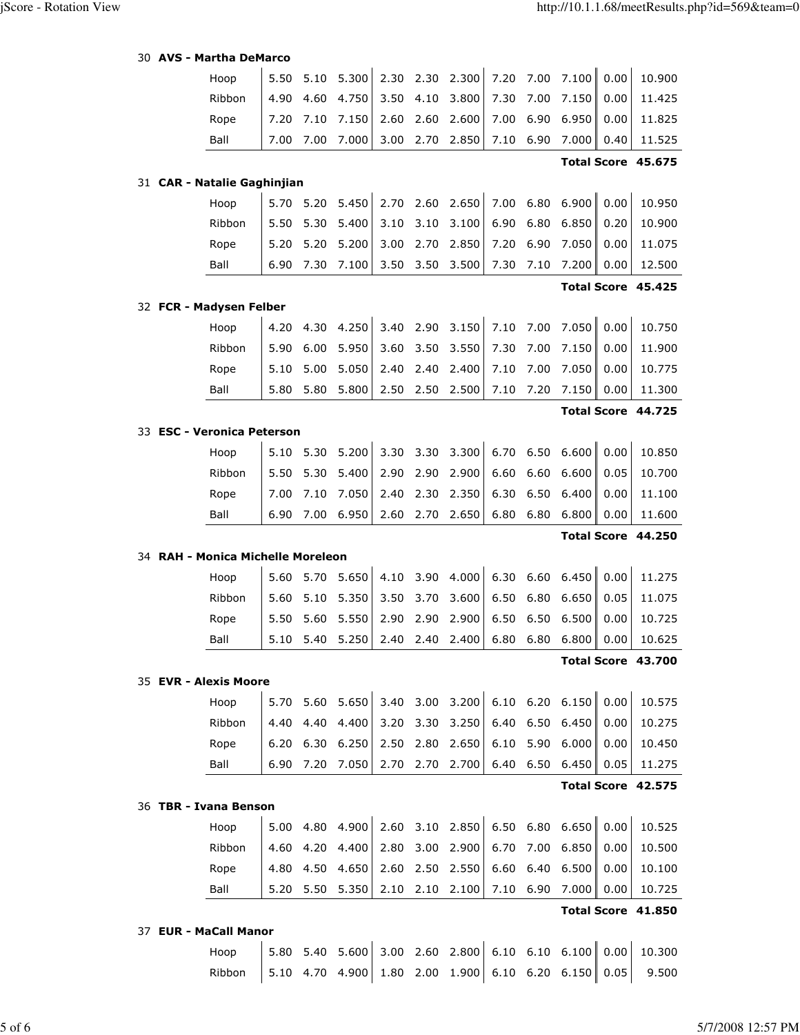| 30 <b>AVS - Martha DeMarco</b> |  |  |  |  |
|--------------------------------|--|--|--|--|
|--------------------------------|--|--|--|--|

| Hoop                              | 5.50 | 5.10 | 5.300                                                | 2.30 | 2.30      | 2.300           | 7.20      | 7.00      | 7.100           | 0.00 | 10.900             |
|-----------------------------------|------|------|------------------------------------------------------|------|-----------|-----------------|-----------|-----------|-----------------|------|--------------------|
| Ribbon                            | 4.90 | 4.60 | 4.750                                                | 3.50 | 4.10      | 3.800           | 7.30      | 7.00      | 7.150           | 0.00 | 11.425             |
| Rope                              | 7.20 | 7.10 | 7.150                                                | 2.60 | 2.60      | 2.600           | 7.00      | 6.90      | 6.950           | 0.00 | 11.825             |
| Ball                              | 7.00 | 7.00 | 7.000                                                | 3.00 | 2.70      | 2.850           | 7.10      | 6.90      | 7.000           | 0.40 | 11.525             |
|                                   |      |      |                                                      |      |           |                 |           |           |                 |      | Total Score 45.675 |
| 31 CAR - Natalie Gaghinjian       |      |      |                                                      |      |           |                 |           |           |                 |      |                    |
| Hoop                              | 5.70 | 5.20 | 5.450                                                | 2.70 | 2.60      | 2.650           | 7.00      | 6.80      | 6.900           | 0.00 | 10.950             |
| Ribbon                            | 5.50 | 5.30 | 5.400                                                | 3.10 | 3.10      | 3.100           | 6.90      | 6.80      | 6.850           | 0.20 | 10.900             |
| Rope                              | 5.20 | 5.20 | 5.200                                                | 3.00 | 2.70      | 2.850           | 7.20      | 6.90      | 7.050           | 0.00 | 11.075             |
| Ball                              | 6.90 | 7.30 | 7.100                                                | 3.50 | 3.50      | 3.500           | 7.30      | 7.10      | 7.200           | 0.00 | 12.500             |
|                                   |      |      |                                                      |      |           |                 |           |           |                 |      | Total Score 45.425 |
| 32 FCR - Madysen Felber           |      |      |                                                      |      |           |                 |           |           |                 |      |                    |
| Hoop                              | 4.20 | 4.30 | 4.250                                                | 3.40 | 2.90      | 3.150           | 7.10      | 7.00      | 7.050           | 0.00 | 10.750             |
| Ribbon                            | 5.90 | 6.00 | 5.950                                                | 3.60 | 3.50      | 3.550           | 7.30      | 7.00      | 7.150           | 0.00 | 11.900             |
| Rope                              | 5.10 | 5.00 | 5.050                                                | 2.40 | 2.40      | 2.400           | 7.10      | 7.00      | 7.050           | 0.00 | 10.775             |
| Ball                              | 5.80 | 5.80 | 5.800                                                | 2.50 | 2.50      | 2.500           | 7.10      | 7.20      | 7.150           | 0.00 | 11.300             |
|                                   |      |      |                                                      |      |           |                 |           |           |                 |      | Total Score 44.725 |
| 33 ESC - Veronica Peterson        |      |      |                                                      |      |           |                 |           |           |                 |      |                    |
| Hoop                              | 5.10 | 5.30 | 5.200                                                | 3.30 | 3.30      | 3.300           | 6.70      | 6.50      | 6.600           | 0.00 | 10.850             |
| Ribbon                            | 5.50 | 5.30 | 5.400                                                | 2.90 | 2.90      | 2.900           | 6.60      | 6.60      | 6.600           | 0.05 | 10.700             |
| Rope                              | 7.00 | 7.10 | 7.050                                                | 2.40 | 2.30      | 2.350           | 6.30      | 6.50      | 6.400           | 0.00 | 11.100             |
| Ball                              | 6.90 | 7.00 | 6.950                                                | 2.60 | 2.70      | 2.650           | 6.80      | 6.80      | 6.800           | 0.00 | 11.600             |
|                                   |      |      |                                                      |      |           |                 |           |           |                 |      | Total Score 44.250 |
| 34 RAH - Monica Michelle Moreleon |      |      |                                                      |      |           |                 |           |           |                 |      |                    |
| Hoop                              | 5.60 | 5.70 | 5.650                                                | 4.10 | 3.90      | 4.000           | 6.30 6.60 |           | 6.450           | 0.00 | 11.275             |
| Ribbon                            | 5.60 | 5.10 | 5.350                                                | 3.50 | 3.70      | 3.600           | 6.50      | 6.80      | 6.650           | 0.05 | 11.075             |
| Rope                              | 5.50 | 5.60 | 5.550                                                | 2.90 | 2.90      | 2.900           | 6.50      | 6.50      | 6.500           | 0.00 | 10.725             |
| Ball                              | 5.10 | 5.40 | 5.250                                                | 2.40 | 2.40      | 2.400           | 6.80      | 6.80      | 6.800           | 0.00 | 10.625             |
|                                   |      |      |                                                      |      |           |                 |           |           |                 |      | Total Score 43.700 |
| 35 EVR - Alexis Moore             |      |      |                                                      |      |           |                 |           |           |                 |      |                    |
| Hoop                              | 5.70 | 5.60 | 5.650                                                |      |           | 3.40 3.00 3.200 |           |           | 6.10 6.20 6.150 | 0.00 | 10.575             |
| Ribbon                            | 4.40 | 4.40 | 4.400                                                | 3.20 | 3.30      | 3.250           | 6.40      | 6.50      | 6.450           | 0.00 | 10.275             |
| Rope                              | 6.20 | 6.30 | 6.250                                                | 2.50 | 2.80      | 2.650           | 6.10      | 5.90      | 6.000           | 0.00 | 10.450             |
| Ball                              | 6.90 | 7.20 | 7.050                                                | 2.70 | 2.70      | 2.700           | 6.40      | 6.50      | 6.450           | 0.05 | 11.275             |
|                                   |      |      |                                                      |      |           |                 |           |           |                 |      | Total Score 42.575 |
| 36 TBR - Ivana Benson             |      |      |                                                      |      |           |                 |           |           |                 |      |                    |
| Hoop                              | 5.00 | 4.80 | 4.900                                                |      | 2.60 3.10 | 2.850           |           | 6.50 6.80 | 6.650           | 0.00 | 10.525             |
| Ribbon                            | 4.60 | 4.20 | 4.400                                                | 2.80 | 3.00      | 2.900           | 6.70      | 7.00      | 6.850           | 0.00 | 10.500             |
| Rope                              | 4.80 | 4.50 | 4.650                                                | 2.60 | 2.50      | 2.550           | 6.60      | 6.40      | 6.500           | 0.00 | 10.100             |
| Ball                              | 5.20 | 5.50 | 5.350                                                | 2.10 | 2.10      | 2.100           | 7.10      | 6.90      | 7.000           | 0.00 | 10.725             |
|                                   |      |      |                                                      |      |           |                 |           |           |                 |      | Total Score 41.850 |
| 37 EUR - MaCall Manor             |      |      |                                                      |      |           |                 |           |           |                 |      |                    |
| Hoop                              |      |      | 5.80 5.40 5.600 3.00 2.60 2.800 6.10 6.10 6.100 0.00 |      |           |                 |           |           |                 |      | 10.300             |

Ribbon 5.10 4.70 4.900 1.80 2.00 1.900 6.10 6.20 6.150 0.05 9.500